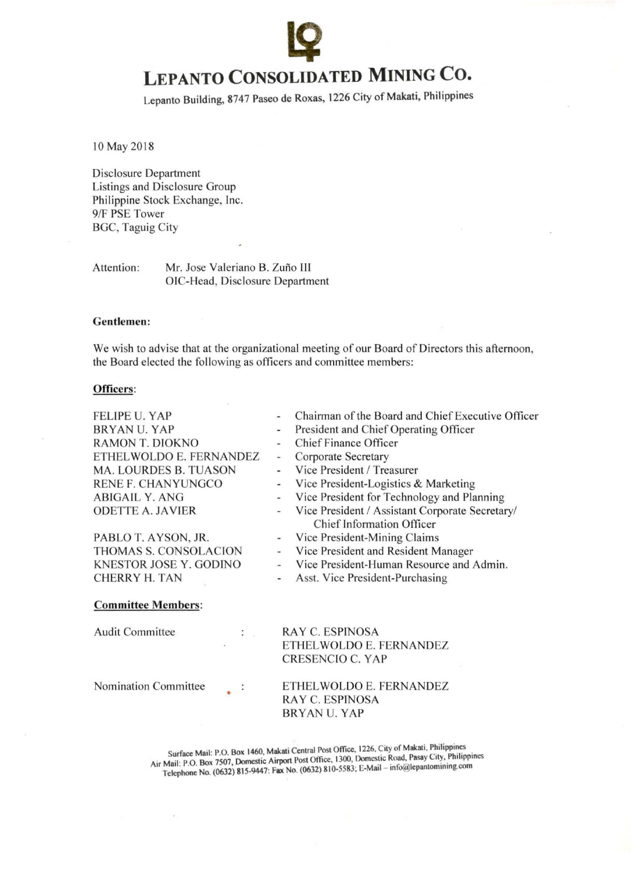# <sup>~</sup>**LEPANTO CONSOLIDATED MINING Co.**

Lepanto Building, 8747 Paseo de Roxas, 1226 City of Makati, Philippines

10 May 2018

Disclosure Department Listings and Disclosure Group Philippine Stock Exchange, Inc. 9/F PSE Tower BGC, Taguig City

Attention: Mr. Jose Valeriano B. Zuño III OIC-Head, Disclosure Department

#### Gentlemen:

We wish to advise that at the organizational meeting of our Board of Directors this afternoon, the Board elected the following as officers and committee members:

#### Officers:

FELIPE U. YAP BRYAN U. YAP RAMON T. DIOKNO ETHELWOLDO E. FERNANDEZ MA. LOURDES B. TUASON RENE F. CHANYUNGCO ABIGAIL Y. ANG ODETTE A. JAVIER

PABLO T. AYSON, JR. THOMAS S. CONSOLACION KNESTOR JOSEY. GODINO CHERRY H. TAN

 $\ddot{\phantom{a}}$ 

## Chairman of the Board and Chief Executive Officer

- President and Chief Operating Officer
- Chief Finance Officer
- Corporate Secretary  $\overline{\phantom{a}}$
- Vice President / Treasurer ä,
- Vice President-Logistics & Marketing  $\omega$ 
	- Vice President for Technology and Planning
	- Vice President / Assistant Corporate Secretary/ Chief Information Officer
	- Vice President-Mining Claims
- Vice President and Resident Manager
- Vice President-Human Resource and Admin.  $\blacksquare$
- Asst. Vice President-Purchasing

### Committee Members:

Audit Committee

Nomination Committee

RAY C. ESPINOSA ETHEL WOLDO E. FERNANDEZ CRESENCIO C. YAP

ETHELWOLDO E. FERNANDEZ RAY C. ESPINOSA BRYAN U. YAP

Surface Mail: P.O. Box 1460, Makati Central Post Office, 1226, City of Makati, Philippines Air Mail: P.O. Box 7507, Domestic Airport Post Office, 1300, Domestic Road, Pasay City, Philippines Telephone No. (0632) 815-9447: Fax No. (0632) 810-5583; E-Mail - info@lepantomining.com